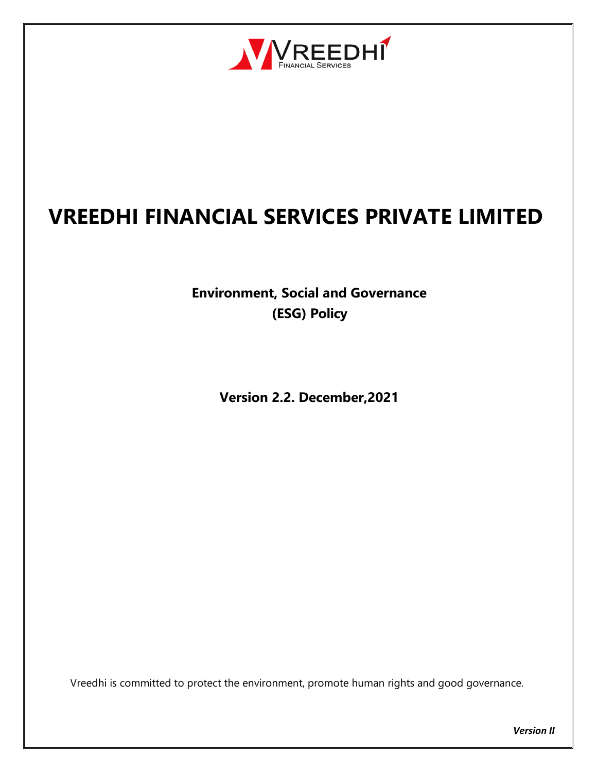

# **VREEDHI FINANCIAL SERVICES PRIVATE LIMITED**

**Environment, Social and Governance (ESG) Policy**

**Version 2.2. December,2021**

Vreedhi is committed to protect the environment, promote human rights and good governance.

*Version II*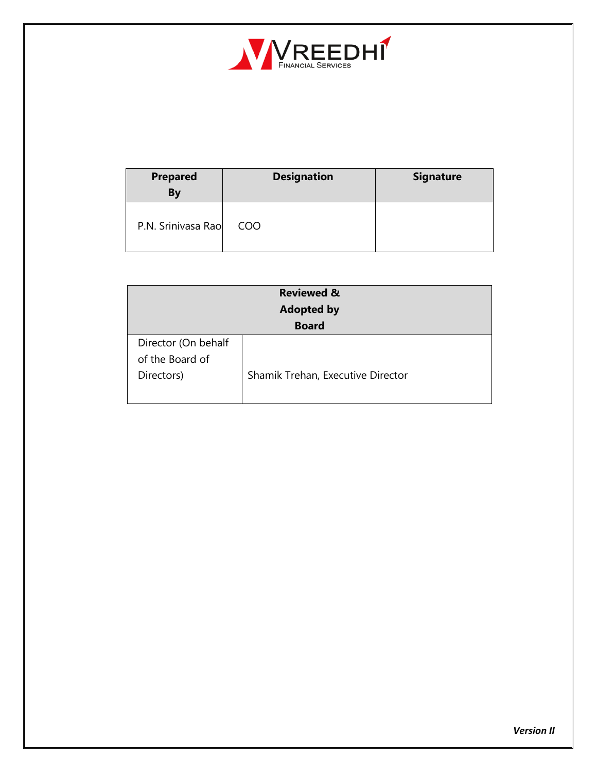

| <b>Prepared</b><br>By | <b>Designation</b> | <b>Signature</b> |
|-----------------------|--------------------|------------------|
| P.N. Srinivasa Rao    | <b>COO</b>         |                  |

| <b>Reviewed &amp;</b><br><b>Adopted by</b> |                                   |  |  |
|--------------------------------------------|-----------------------------------|--|--|
| <b>Board</b>                               |                                   |  |  |
| Director (On behalf                        |                                   |  |  |
| of the Board of                            |                                   |  |  |
| Directors)                                 | Shamik Trehan, Executive Director |  |  |
|                                            |                                   |  |  |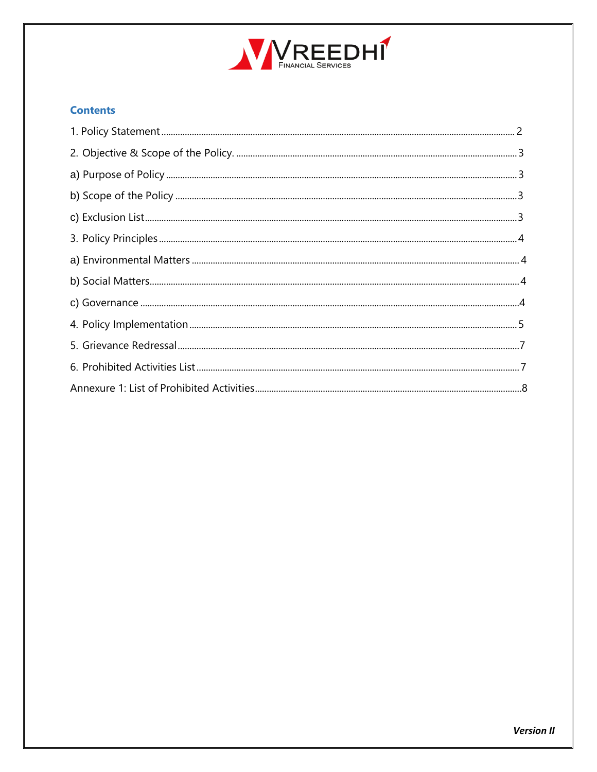

#### **Contents**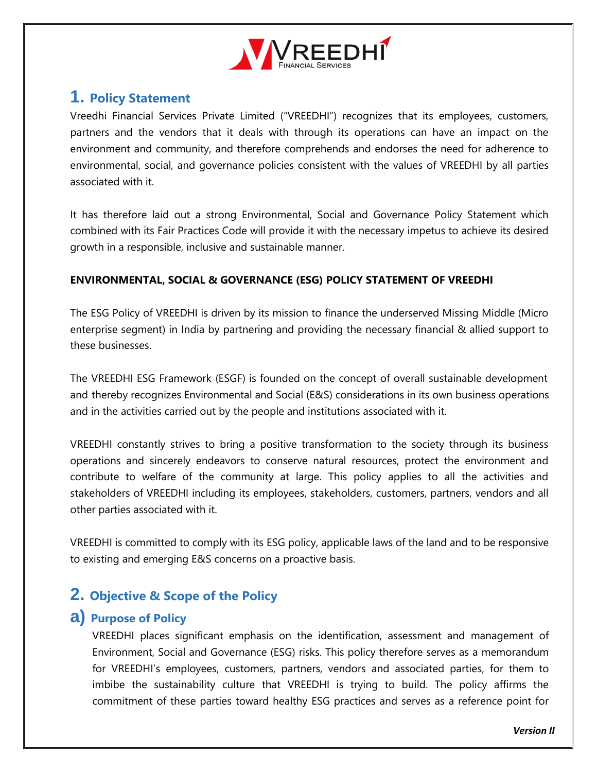

# <span id="page-3-0"></span>**1. Policy Statement**

Vreedhi Financial Services Private Limited ("VREEDHI") recognizes that its employees, customers, partners and the vendors that it deals with through its operations can have an impact on the environment and community, and therefore comprehends and endorses the need for adherence to environmental, social, and governance policies consistent with the values of VREEDHI by all parties associated with it.

It has therefore laid out a strong Environmental, Social and Governance Policy Statement which combined with its Fair Practices Code will provide it with the necessary impetus to achieve its desired growth in a responsible, inclusive and sustainable manner.

### **ENVIRONMENTAL, SOCIAL & GOVERNANCE (ESG) POLICY STATEMENT OF VREEDHI**

The ESG Policy of VREEDHI is driven by its mission to finance the underserved Missing Middle (Micro enterprise segment) in India by partnering and providing the necessary financial & allied support to these businesses.

The VREEDHI ESG Framework (ESGF) is founded on the concept of overall sustainable development and thereby recognizes Environmental and Social (E&S) considerations in its own business operations and in the activities carried out by the people and institutions associated with it.

VREEDHI constantly strives to bring a positive transformation to the society through its business operations and sincerely endeavors to conserve natural resources, protect the environment and contribute to welfare of the community at large. This policy applies to all the activities and stakeholders of VREEDHI including its employees, stakeholders, customers, partners, vendors and all other parties associated with it.

VREEDHI is committed to comply with its ESG policy, applicable laws of the land and to be responsive to existing and emerging E&S concerns on a proactive basis.

### <span id="page-3-1"></span>**2. Objective & Scope of the Policy**

### <span id="page-3-2"></span>**a) Purpose of Policy**

VREEDHI places significant emphasis on the identification, assessment and management of Environment, Social and Governance (ESG) risks. This policy therefore serves as a memorandum for VREEDHI's employees, customers, partners, vendors and associated parties, for them to imbibe the sustainability culture that VREEDHI is trying to build. The policy affirms the commitment of these parties toward healthy ESG practices and serves as a reference point for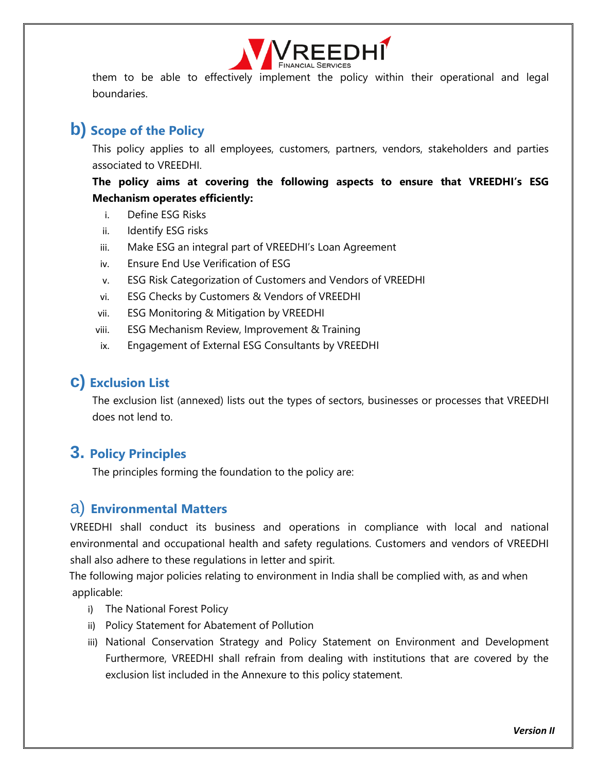

them to be able to effectively implement the policy within their operational and legal boundaries.

# <span id="page-4-0"></span>**b) Scope of the Policy**

This policy applies to all employees, customers, partners, vendors, stakeholders and parties associated to VREEDHI.

**The policy aims at covering the following aspects to ensure that VREEDHI's ESG Mechanism operates efficiently:**

- i. Define ESG Risks
- ii. Identify ESG risks
- iii. Make ESG an integral part of VREEDHI's Loan Agreement
- iv. Ensure End Use Verification of ESG
- v. ESG Risk Categorization of Customers and Vendors of VREEDHI
- vi. ESG Checks by Customers & Vendors of VREEDHI
- vii. ESG Monitoring & Mitigation by VREEDHI
- viii. ESG Mechanism Review, Improvement & Training
- ix. Engagement of External ESG Consultants by VREEDHI

### <span id="page-4-1"></span>**c) Exclusion List**

The exclusion list (annexed) lists out the types of sectors, businesses or processes that VREEDHI does not lend to.

# <span id="page-4-2"></span>**3. Policy Principles**

The principles forming the foundation to the policy are:

### <span id="page-4-3"></span>a) **Environmental Matters**

VREEDHI shall conduct its business and operations in compliance with local and national environmental and occupational health and safety regulations. Customers and vendors of VREEDHI shall also adhere to these regulations in letter and spirit.

 The following major policies relating to environment in India shall be complied with, as and when applicable:

- i) The National Forest Policy
- ii) Policy Statement for Abatement of Pollution
- iii) National Conservation Strategy and Policy Statement on Environment and Development Furthermore, VREEDHI shall refrain from dealing with institutions that are covered by the exclusion list included in the Annexure to this policy statement.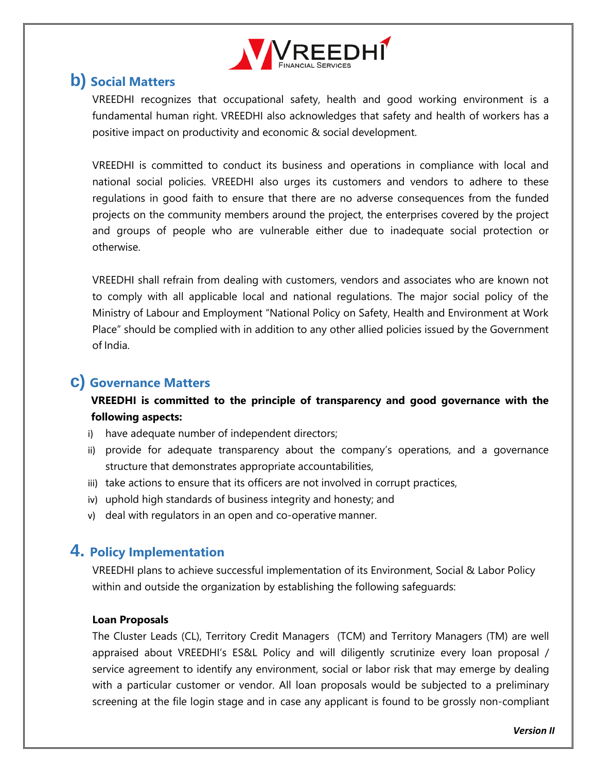

# <span id="page-5-0"></span>**b) Social Matters**

VREEDHI recognizes that occupational safety, health and good working environment is a fundamental human right. VREEDHI also acknowledges that safety and health of workers has a positive impact on productivity and economic & social development.

VREEDHI is committed to conduct its business and operations in compliance with local and national social policies. VREEDHI also urges its customers and vendors to adhere to these regulations in good faith to ensure that there are no adverse consequences from the funded projects on the community members around the project, the enterprises covered by the project and groups of people who are vulnerable either due to inadequate social protection or otherwise.

VREEDHI shall refrain from dealing with customers, vendors and associates who are known not to comply with all applicable local and national regulations. The major social policy of the Ministry of Labour and Employment "National Policy on Safety, Health and Environment at Work Place" should be complied with in addition to any other allied policies issued by the Government of India.

# **c) Governance Matters**

### **VREEDHI is committed to the principle of transparency and good governance with the following aspects:**

- i) have adequate number of independent directors;
- ii) provide for adequate transparency about the company's operations, and a governance structure that demonstrates appropriate accountabilities,
- iii) take actions to ensure that its officers are not involved in corrupt practices,
- iv) uphold high standards of business integrity and honesty; and
- v) deal with regulators in an open and co-operative manner.

# <span id="page-5-1"></span>**4. Policy Implementation**

VREEDHI plans to achieve successful implementation of its Environment, Social & Labor Policy within and outside the organization by establishing the following safeguards:

#### **Loan Proposals**

The Cluster Leads (CL), Territory Credit Managers (TCM) and Territory Managers (TM) are well appraised about VREEDHI's ES&L Policy and will diligently scrutinize every loan proposal / service agreement to identify any environment, social or labor risk that may emerge by dealing with a particular customer or vendor. All loan proposals would be subjected to a preliminary screening at the file login stage and in case any applicant is found to be grossly non-compliant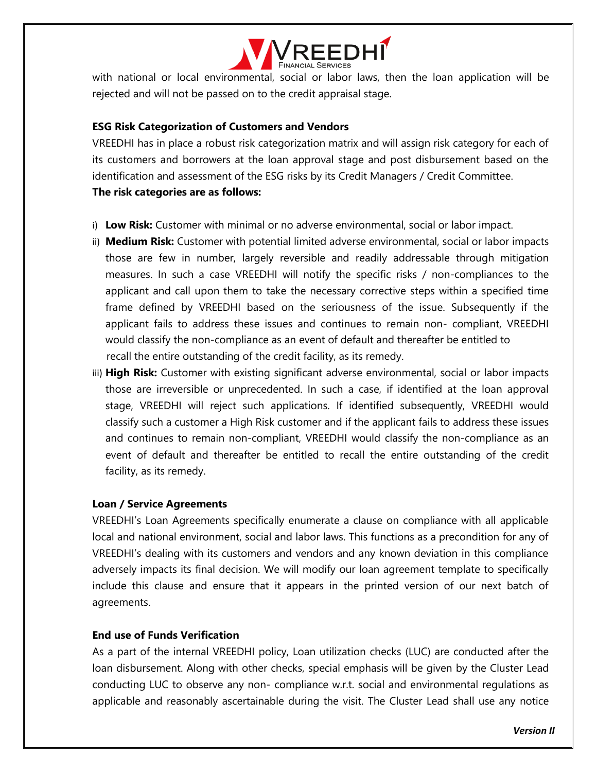

with national or local environmental, social or labor laws, then the loan application will be rejected and will not be passed on to the credit appraisal stage.

#### **ESG Risk Categorization of Customers and Vendors**

VREEDHI has in place a robust risk categorization matrix and will assign risk category for each of its customers and borrowers at the loan approval stage and post disbursement based on the identification and assessment of the ESG risks by its Credit Managers / Credit Committee. **The risk categories are as follows:**

- i) **Low Risk:** Customer with minimal or no adverse environmental, social or labor impact.
- ii) **Medium Risk:** Customer with potential limited adverse environmental, social or labor impacts those are few in number, largely reversible and readily addressable through mitigation measures. In such a case VREEDHI will notify the specific risks / non-compliances to the applicant and call upon them to take the necessary corrective steps within a specified time frame defined by VREEDHI based on the seriousness of the issue. Subsequently if the applicant fails to address these issues and continues to remain non- compliant, VREEDHI would classify the non-compliance as an event of default and thereafter be entitled to recall the entire outstanding of the credit facility, as its remedy.
- iii) **High Risk:** Customer with existing significant adverse environmental, social or labor impacts those are irreversible or unprecedented. In such a case, if identified at the loan approval stage, VREEDHI will reject such applications. If identified subsequently, VREEDHI would classify such a customer a High Risk customer and if the applicant fails to address these issues and continues to remain non-compliant, VREEDHI would classify the non-compliance as an event of default and thereafter be entitled to recall the entire outstanding of the credit facility, as its remedy.

#### **Loan / Service Agreements**

VREEDHI's Loan Agreements specifically enumerate a clause on compliance with all applicable local and national environment, social and labor laws. This functions as a precondition for any of VREEDHI's dealing with its customers and vendors and any known deviation in this compliance adversely impacts its final decision. We will modify our loan agreement template to specifically include this clause and ensure that it appears in the printed version of our next batch of agreements.

#### **End use of Funds Verification**

As a part of the internal VREEDHI policy, Loan utilization checks (LUC) are conducted after the loan disbursement. Along with other checks, special emphasis will be given by the Cluster Lead conducting LUC to observe any non- compliance w.r.t. social and environmental regulations as applicable and reasonably ascertainable during the visit. The Cluster Lead shall use any notice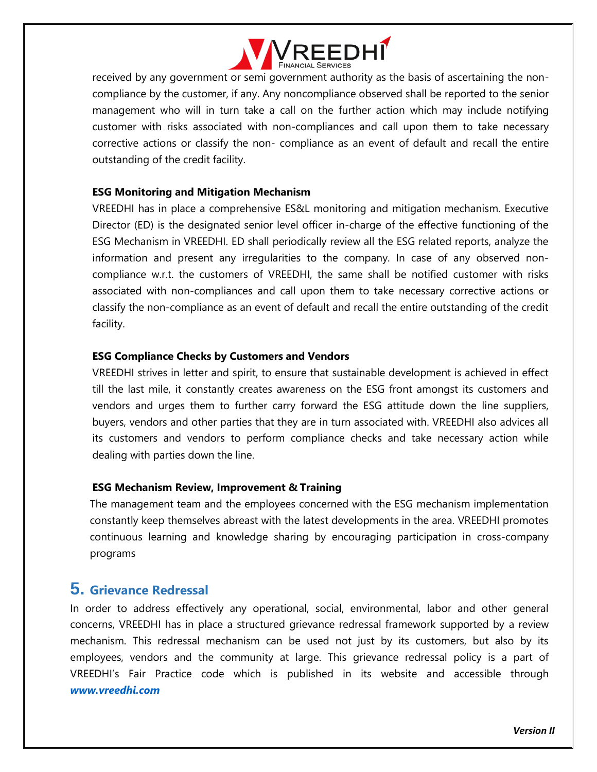

received by any government or semi government authority as the basis of ascertaining the noncompliance by the customer, if any. Any noncompliance observed shall be reported to the senior management who will in turn take a call on the further action which may include notifying customer with risks associated with non-compliances and call upon them to take necessary corrective actions or classify the non- compliance as an event of default and recall the entire outstanding of the credit facility.

#### **ESG Monitoring and Mitigation Mechanism**

VREEDHI has in place a comprehensive ES&L monitoring and mitigation mechanism. Executive Director (ED) is the designated senior level officer in-charge of the effective functioning of the ESG Mechanism in VREEDHI. ED shall periodically review all the ESG related reports, analyze the information and present any irregularities to the company. In case of any observed noncompliance w.r.t. the customers of VREEDHI, the same shall be notified customer with risks associated with non-compliances and call upon them to take necessary corrective actions or classify the non-compliance as an event of default and recall the entire outstanding of the credit facility.

#### **ESG Compliance Checks by Customers and Vendors**

VREEDHI strives in letter and spirit, to ensure that sustainable development is achieved in effect till the last mile, it constantly creates awareness on the ESG front amongst its customers and vendors and urges them to further carry forward the ESG attitude down the line suppliers, buyers, vendors and other parties that they are in turn associated with. VREEDHI also advices all its customers and vendors to perform compliance checks and take necessary action while dealing with parties down the line.

#### **ESG Mechanism Review, Improvement & Training**

The management team and the employees concerned with the ESG mechanism implementation constantly keep themselves abreast with the latest developments in the area. VREEDHI promotes continuous learning and knowledge sharing by encouraging participation in cross-company programs

### <span id="page-7-0"></span>**5. Grievance Redressal**

In order to address effectively any operational, social, environmental, labor and other general concerns, VREEDHI has in place a structured grievance redressal framework supported by a review mechanism. This redressal mechanism can be used not just by its customers, but also by its employees, vendors and the community at large. This grievance redressal policy is a part of VREEDHI's Fair Practice code which is published in its website and accessible through *[www.vreedhi.com](http://www.vreedhi.com/)*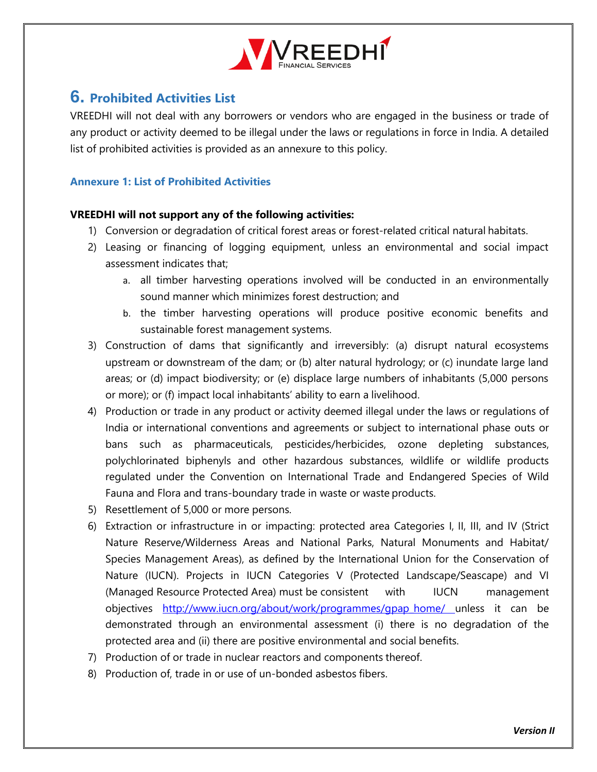

# <span id="page-8-0"></span>**6. Prohibited Activities List**

VREEDHI will not deal with any borrowers or vendors who are engaged in the business or trade of any product or activity deemed to be illegal under the laws or regulations in force in India. A detailed list of prohibited activities is provided as an annexure to this policy.

#### <span id="page-8-1"></span>**Annexure 1: List of Prohibited Activities**

#### **VREEDHI will not support any of the following activities:**

- 1) Conversion or degradation of critical forest areas or forest-related critical natural habitats.
- 2) Leasing or financing of logging equipment, unless an environmental and social impact assessment indicates that;
	- a. all timber harvesting operations involved will be conducted in an environmentally sound manner which minimizes forest destruction; and
	- b. the timber harvesting operations will produce positive economic benefits and sustainable forest management systems.
- 3) Construction of dams that significantly and irreversibly: (a) disrupt natural ecosystems upstream or downstream of the dam; or (b) alter natural hydrology; or (c) inundate large land areas; or (d) impact biodiversity; or (e) displace large numbers of inhabitants (5,000 persons or more); or (f) impact local inhabitants' ability to earn a livelihood.
- 4) Production or trade in any product or activity deemed illegal under the laws or regulations of India or international conventions and agreements or subject to international phase outs or bans such as pharmaceuticals, pesticides/herbicides, ozone depleting substances, polychlorinated biphenyls and other hazardous substances, wildlife or wildlife products regulated under the Convention on International Trade and Endangered Species of Wild Fauna and Flora and trans-boundary trade in waste or waste products.
- 5) Resettlement of 5,000 or more persons.
- 6) Extraction or infrastructure in or impacting: protected area Categories I, II, III, and IV (Strict Nature Reserve/Wilderness Areas and National Parks, Natural Monuments and Habitat/ Species Management Areas), as defined by the International Union for the Conservation of Nature (IUCN). Projects in IUCN Categories V (Protected Landscape/Seascape) and VI (Managed Resource Protected Area) must be consistent with IUCN management objectives [http://www.iucn.org/about/work/programmes/gpap\\_home/ u](http://www.iucn.org/about/work/programmes/gpap_home/)nless it can be demonstrated through an environmental assessment (i) there is no degradation of the protected area and (ii) there are positive environmental and social benefits.
- 7) Production of or trade in nuclear reactors and components thereof.
- 8) Production of, trade in or use of un-bonded asbestos fibers.